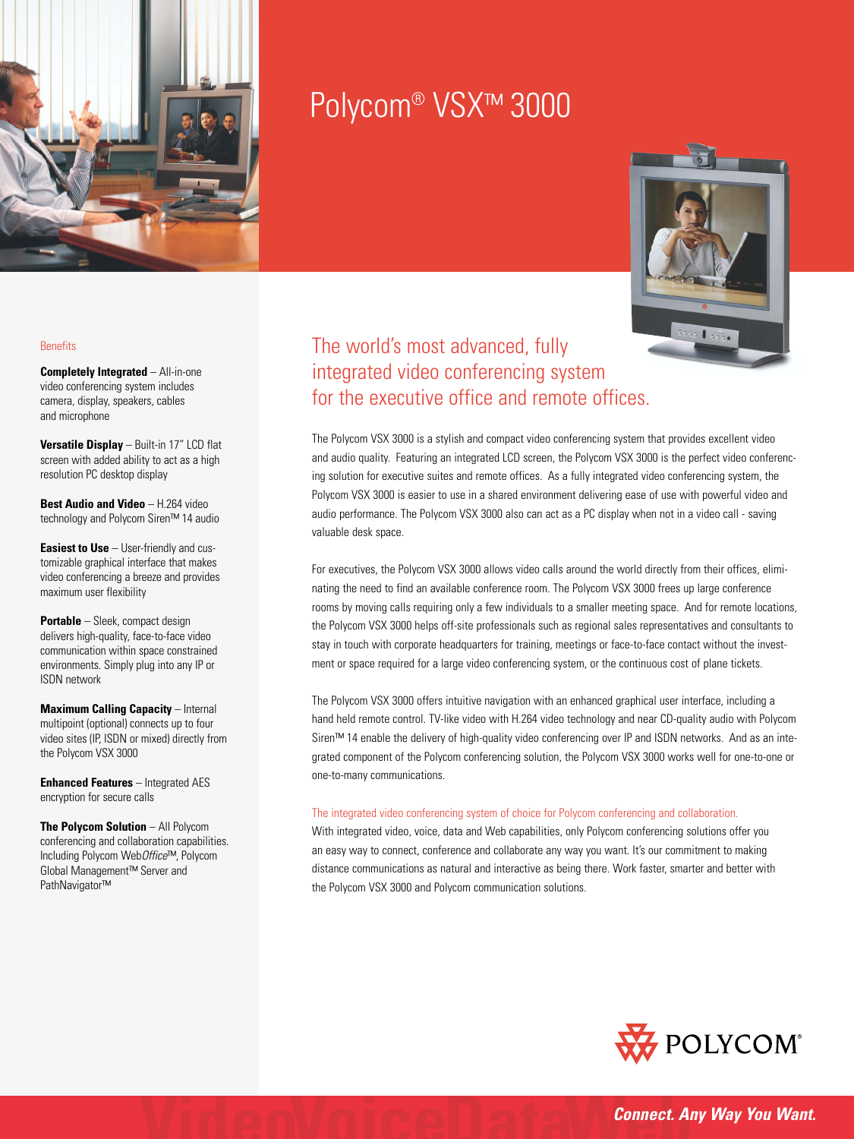

# Polycom® VSX™ 3000



## The world's most advanced, fully integrated video conferencing system for the executive office and remote offices.

The Polycom VSX 3000 is a stylish and compact video conferencing system that provides excellent video and audio quality. Featuring an integrated LCD screen, the Polycom VSX 3000 is the perfect video conferencing solution for executive suites and remote offices. As a fully integrated video conferencing system, the Polycom VSX 3000 is easier to use in a shared environment delivering ease of use with powerful video and audio performance. The Polycom VSX 3000 also can act as a PC display when not in a video call - saving valuable desk space.

For executives, the Polycom VSX 3000 allows video calls around the world directly from their offices, eliminating the need to find an available conference room. The Polycom VSX 3000 frees up large conference rooms by moving calls requiring only a few individuals to a smaller meeting space. And for remote locations, the Polycom VSX 3000 helps off-site professionals such as regional sales representatives and consultants to stay in touch with corporate headquarters for training, meetings or face-to-face contact without the investment or space required for a large video conferencing system, or the continuous cost of plane tickets.

The Polycom VSX 3000 offers intuitive navigation with an enhanced graphical user interface, including a hand held remote control. TV-like video with H.264 video technology and near CD-quality audio with Polycom Siren™ 14 enable the delivery of high-quality video conferencing over IP and ISDN networks. And as an integrated component of the Polycom conferencing solution, the Polycom VSX 3000 works well for one-to-one or one-to-many communications.

## The integrated video conferencing system of choice for Polycom conferencing and collaboration.

With integrated video, voice, data and Web capabilities, only Polycom conferencing solutions offer you an easy way to connect, conference and collaborate any way you want. It's our commitment to making distance communications as natural and interactive as being there. Work faster, smarter and better with the Polycom VSX 3000 and Polycom communication solutions.



## **Benefits**

**Completely Integrated – All-in-one** video conferencing system includes camera, display, speakers, cables and microphone

**Versatile Display** – Built-in 17" LCD flat screen with added ability to act as a high resolution PC desktop display

**Best Audio and Video** – H.264 video technology and Polycom Siren™ 14 audio

**Easiest to Use** – User-friendly and customizable graphical interface that makes video conferencing a breeze and provides maximum user flexibility

**Portable** – Sleek, compact design delivers high-quality, face-to-face video communication within space constrained environments. Simply plug into any IP or ISDN network

**Maximum Calling Capacity – Internal** multipoint (optional) connects up to four video sites (IP, ISDN or mixed) directly from the Polycom VSX 3000

**Enhanced Features** – Integrated AES encryption for secure calls

**The Polycom Solution** – All Polycom conferencing and collaboration capabilities. Including Polycom Web*Office*™, Polycom Global Management™ Server and PathNavigator™